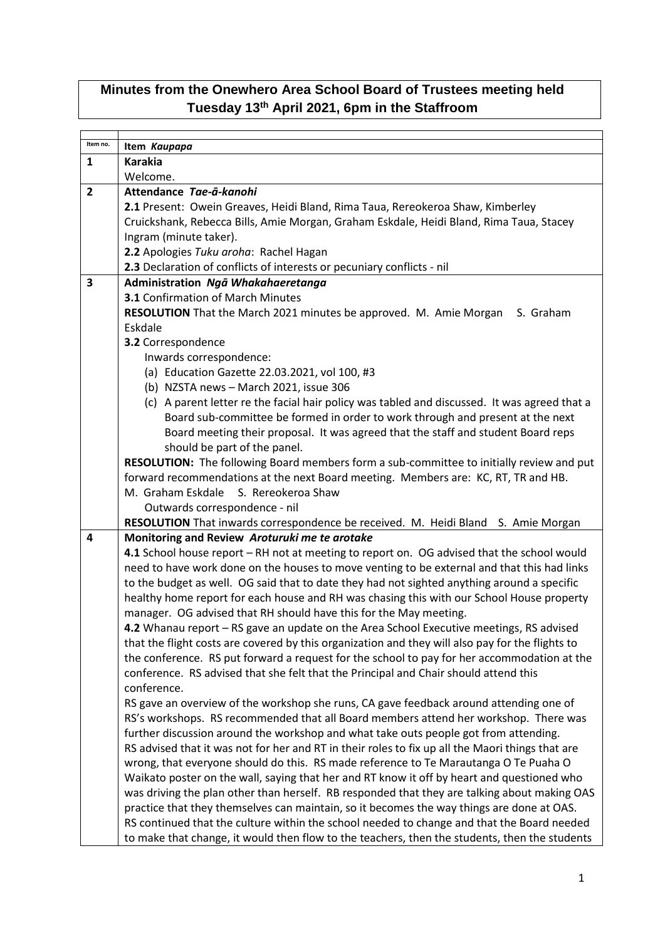## **Minutes from the Onewhero Area School Board of Trustees meeting held Tuesday 13th April 2021, 6pm in the Staffroom**

| Item no.       | Item Kaupapa                                                                                     |
|----------------|--------------------------------------------------------------------------------------------------|
| 1              | <b>Karakia</b>                                                                                   |
|                | Welcome.                                                                                         |
| $\overline{2}$ | Attendance Tae-ā-kanohi                                                                          |
|                | 2.1 Present: Owein Greaves, Heidi Bland, Rima Taua, Rereokeroa Shaw, Kimberley                   |
|                | Cruickshank, Rebecca Bills, Amie Morgan, Graham Eskdale, Heidi Bland, Rima Taua, Stacey          |
|                |                                                                                                  |
|                | Ingram (minute taker).                                                                           |
|                | 2.2 Apologies Tuku aroha: Rachel Hagan                                                           |
|                | 2.3 Declaration of conflicts of interests or pecuniary conflicts - nil                           |
| 3              | Administration Ngā Whakahaeretanga                                                               |
|                | <b>3.1 Confirmation of March Minutes</b>                                                         |
|                | RESOLUTION That the March 2021 minutes be approved. M. Amie Morgan<br>S. Graham                  |
|                | Eskdale                                                                                          |
|                | 3.2 Correspondence                                                                               |
|                | Inwards correspondence:                                                                          |
|                | (a) Education Gazette 22.03.2021, vol 100, #3                                                    |
|                | (b) NZSTA news - March 2021, issue 306                                                           |
|                | (c) A parent letter re the facial hair policy was tabled and discussed. It was agreed that a     |
|                | Board sub-committee be formed in order to work through and present at the next                   |
|                | Board meeting their proposal. It was agreed that the staff and student Board reps                |
|                | should be part of the panel.                                                                     |
|                | RESOLUTION: The following Board members form a sub-committee to initially review and put         |
|                | forward recommendations at the next Board meeting. Members are: KC, RT, TR and HB.               |
|                | S. Rereokeroa Shaw<br>M. Graham Eskdale                                                          |
|                | Outwards correspondence - nil                                                                    |
|                | RESOLUTION That inwards correspondence be received. M. Heidi Bland S. Amie Morgan                |
| 4              | Monitoring and Review Aroturuki me te arotake                                                    |
|                | 4.1 School house report - RH not at meeting to report on. OG advised that the school would       |
|                | need to have work done on the houses to move venting to be external and that this had links      |
|                | to the budget as well. OG said that to date they had not sighted anything around a specific      |
|                | healthy home report for each house and RH was chasing this with our School House property        |
|                | manager. OG advised that RH should have this for the May meeting.                                |
|                | 4.2 Whanau report - RS gave an update on the Area School Executive meetings, RS advised          |
|                | that the flight costs are covered by this organization and they will also pay for the flights to |
|                |                                                                                                  |
|                | the conference. RS put forward a request for the school to pay for her accommodation at the      |
|                | conference. RS advised that she felt that the Principal and Chair should attend this             |
|                | conference.                                                                                      |
|                | RS gave an overview of the workshop she runs, CA gave feedback around attending one of           |
|                | RS's workshops. RS recommended that all Board members attend her workshop. There was             |
|                | further discussion around the workshop and what take outs people got from attending.             |
|                | RS advised that it was not for her and RT in their roles to fix up all the Maori things that are |
|                | wrong, that everyone should do this. RS made reference to Te Marautanga O Te Puaha O             |
|                | Waikato poster on the wall, saying that her and RT know it off by heart and questioned who       |
|                | was driving the plan other than herself. RB responded that they are talking about making OAS     |
|                | practice that they themselves can maintain, so it becomes the way things are done at OAS.        |
|                | RS continued that the culture within the school needed to change and that the Board needed       |
|                | to make that change, it would then flow to the teachers, then the students, then the students    |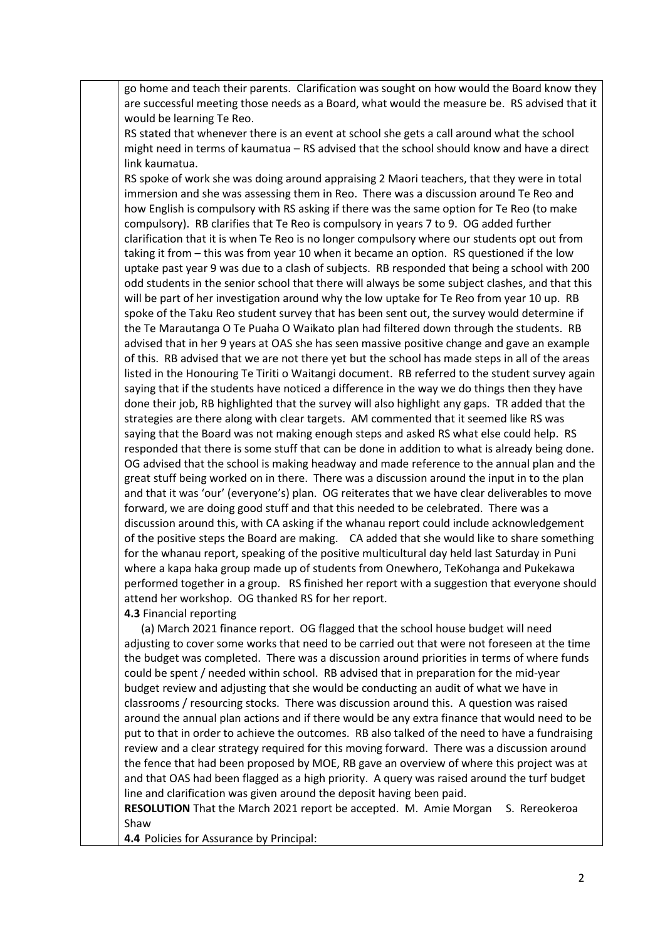go home and teach their parents. Clarification was sought on how would the Board know they are successful meeting those needs as a Board, what would the measure be. RS advised that it would be learning Te Reo.

RS stated that whenever there is an event at school she gets a call around what the school might need in terms of kaumatua – RS advised that the school should know and have a direct link kaumatua.

RS spoke of work she was doing around appraising 2 Maori teachers, that they were in total immersion and she was assessing them in Reo. There was a discussion around Te Reo and how English is compulsory with RS asking if there was the same option for Te Reo (to make compulsory). RB clarifies that Te Reo is compulsory in years 7 to 9. OG added further clarification that it is when Te Reo is no longer compulsory where our students opt out from taking it from – this was from year 10 when it became an option. RS questioned if the low uptake past year 9 was due to a clash of subjects. RB responded that being a school with 200 odd students in the senior school that there will always be some subject clashes, and that this will be part of her investigation around why the low uptake for Te Reo from year 10 up. RB spoke of the Taku Reo student survey that has been sent out, the survey would determine if the Te Marautanga O Te Puaha O Waikato plan had filtered down through the students. RB advised that in her 9 years at OAS she has seen massive positive change and gave an example of this. RB advised that we are not there yet but the school has made steps in all of the areas listed in the Honouring Te Tiriti o Waitangi document. RB referred to the student survey again saying that if the students have noticed a difference in the way we do things then they have done their job, RB highlighted that the survey will also highlight any gaps. TR added that the strategies are there along with clear targets. AM commented that it seemed like RS was saying that the Board was not making enough steps and asked RS what else could help. RS responded that there is some stuff that can be done in addition to what is already being done. OG advised that the school is making headway and made reference to the annual plan and the great stuff being worked on in there. There was a discussion around the input in to the plan and that it was 'our' (everyone's) plan. OG reiterates that we have clear deliverables to move forward, we are doing good stuff and that this needed to be celebrated. There was a discussion around this, with CA asking if the whanau report could include acknowledgement of the positive steps the Board are making. CA added that she would like to share something for the whanau report, speaking of the positive multicultural day held last Saturday in Puni where a kapa haka group made up of students from Onewhero, TeKohanga and Pukekawa performed together in a group. RS finished her report with a suggestion that everyone should attend her workshop. OG thanked RS for her report.

## **4.3** Financial reporting

 (a) March 2021 finance report. OG flagged that the school house budget will need adjusting to cover some works that need to be carried out that were not foreseen at the time the budget was completed. There was a discussion around priorities in terms of where funds could be spent / needed within school. RB advised that in preparation for the mid-year budget review and adjusting that she would be conducting an audit of what we have in classrooms / resourcing stocks. There was discussion around this. A question was raised around the annual plan actions and if there would be any extra finance that would need to be put to that in order to achieve the outcomes. RB also talked of the need to have a fundraising review and a clear strategy required for this moving forward. There was a discussion around the fence that had been proposed by MOE, RB gave an overview of where this project was at and that OAS had been flagged as a high priority. A query was raised around the turf budget line and clarification was given around the deposit having been paid.

**RESOLUTION** That the March 2021 report be accepted. M. Amie Morgan S. Rereokeroa Shaw

**4.4** Policies for Assurance by Principal: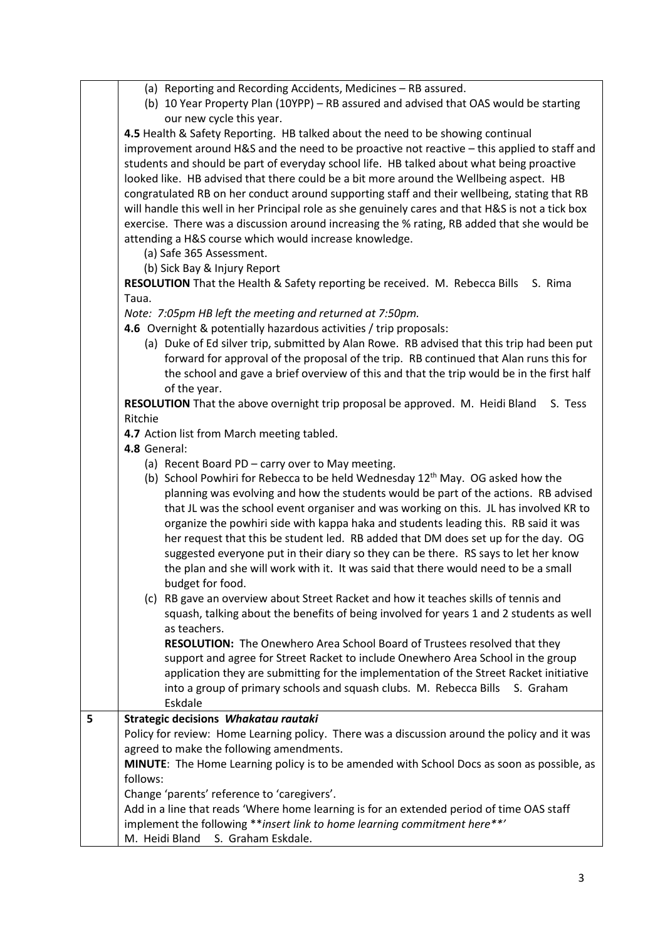- (a) Reporting and Recording Accidents, Medicines RB assured.
- (b) 10 Year Property Plan (10YPP) RB assured and advised that OAS would be starting our new cycle this year.

**4.5** Health & Safety Reporting. HB talked about the need to be showing continual improvement around H&S and the need to be proactive not reactive – this applied to staff and students and should be part of everyday school life. HB talked about what being proactive looked like. HB advised that there could be a bit more around the Wellbeing aspect. HB congratulated RB on her conduct around supporting staff and their wellbeing, stating that RB will handle this well in her Principal role as she genuinely cares and that H&S is not a tick box exercise. There was a discussion around increasing the % rating, RB added that she would be attending a H&S course which would increase knowledge.

- (a) Safe 365 Assessment.
- (b) Sick Bay & Injury Report

**RESOLUTION** That the Health & Safety reporting be received. M. Rebecca Bills S. Rima Taua.

*Note: 7:05pm HB left the meeting and returned at 7:50pm.*

- **4.6** Overnight & potentially hazardous activities / trip proposals:
	- (a) Duke of Ed silver trip, submitted by Alan Rowe. RB advised that this trip had been put forward for approval of the proposal of the trip. RB continued that Alan runs this for the school and gave a brief overview of this and that the trip would be in the first half of the year.

**RESOLUTION** That the above overnight trip proposal be approved. M. Heidi Bland S. Tess Ritchie

**4.7** Action list from March meeting tabled.

- **4.8** General:
	- (a) Recent Board PD carry over to May meeting.
	- (b) School Powhiri for Rebecca to be held Wednesday  $12<sup>th</sup>$  May. OG asked how the planning was evolving and how the students would be part of the actions. RB advised that JL was the school event organiser and was working on this. JL has involved KR to organize the powhiri side with kappa haka and students leading this. RB said it was her request that this be student led. RB added that DM does set up for the day. OG suggested everyone put in their diary so they can be there. RS says to let her know the plan and she will work with it. It was said that there would need to be a small budget for food.
	- (c) RB gave an overview about Street Racket and how it teaches skills of tennis and squash, talking about the benefits of being involved for years 1 and 2 students as well as teachers.

**RESOLUTION:** The Onewhero Area School Board of Trustees resolved that they support and agree for Street Racket to include Onewhero Area School in the group application they are submitting for the implementation of the Street Racket initiative into a group of primary schools and squash clubs. M. Rebecca Bills S. Graham Eskdale

## **5 Strategic decisions** *Whakatau rautaki*

Policy for review: Home Learning policy. There was a discussion around the policy and it was agreed to make the following amendments.

**MINUTE**: The Home Learning policy is to be amended with School Docs as soon as possible, as follows:

Change 'parents' reference to 'caregivers'.

Add in a line that reads 'Where home learning is for an extended period of time OAS staff implement the following \*\**insert link to home learning commitment here\*\*'* M. Heidi Bland S. Graham Eskdale.